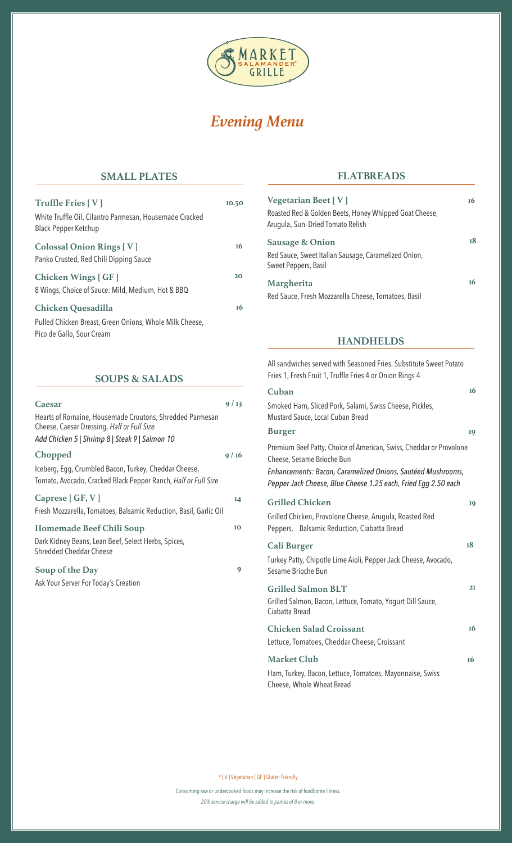

# *Evening Menu*

## **SMALL PLATES**

| Truffle Fries [V]                                                                      | 10.50     |
|----------------------------------------------------------------------------------------|-----------|
| White Truffle Oil, Cilantro Parmesan, Housemade Cracked<br><b>Black Pepper Ketchup</b> |           |
| <b>Colossal Onion Rings [V]</b>                                                        | 16        |
| Panko Crusted, Red Chili Dipping Sauce                                                 |           |
|                                                                                        |           |
| Chicken Wings [ GF ]                                                                   | 20        |
| 8 Wings, Choice of Sauce: Mild, Medium, Hot & BBQ                                      |           |
|                                                                                        |           |
| Chicken Quesadilla                                                                     | <b>16</b> |
| Pulled Chicken Breast, Green Onions, Whole Milk Cheese,<br>Pico de Gallo, Sour Cream   |           |

# **SOUPS & SALADS**

| Caesar                                                                                                                  | 9/13 |
|-------------------------------------------------------------------------------------------------------------------------|------|
| Hearts of Romaine, Housemade Croutons, Shredded Parmesan<br>Cheese, Caesar Dressing, Half or Full Size                  |      |
| Add Chicken 5   Shrimp 8   Steak 9   Salmon 10                                                                          |      |
| Chopped                                                                                                                 | 9/16 |
| Iceberg, Egg, Crumbled Bacon, Turkey, Cheddar Cheese,<br>Tomato, Avocado, Cracked Black Pepper Ranch, Half or Full Size |      |
| Caprese $[GF, V]$<br>Fresh Mozzarella, Tomatoes, Balsamic Reduction, Basil, Garlic Oil                                  | 14   |
| Homemade Beef Chili Soup<br>Dark Kidney Beans, Lean Beef, Select Herbs, Spices,<br>Shredded Cheddar Cheese              | IO   |
| Soup of the Day<br>Ask Your Server For Today's Creation                                                                 | 9    |
|                                                                                                                         |      |

## **FLATBREADS**

| Vegetarian Beet $[V]$<br>Roasted Red & Golden Beets, Honey Whipped Goat Cheese,<br>Arugula, Sun-Dried Tomato Relish | 16 |
|---------------------------------------------------------------------------------------------------------------------|----|
| <b>Sausage &amp; Onion</b><br>Red Sauce, Sweet Italian Sausage, Caramelized Onion,<br>Sweet Peppers, Basil          | 18 |
| Margherita<br>Red Sauce, Fresh Mozzarella Cheese, Tomatoes, Basil                                                   | 16 |

#### **HANDHELDS**

**16 19 19 18** All sandwiches served with Seasoned Fries. Substitute Sweet Potato Fries 1, Fresh Fruit 1, Truffle Fries 4 or Onion Rings 4 **Cuban**  Smoked Ham, Sliced Pork, Salami, Swiss Cheese, Pickles, Mustard Sauce, Local Cuban Bread **Burger**  Premium Beef Patty, Choice of American, Swiss, Cheddar or Provolone Cheese, Sesame Brioche Bun *Enhancements: Bacon, Caramelized Onions, Sautéed Mushrooms, Pepper Jack Cheese, Blue Cheese 1.25 each, Fried Egg 2.50 each* **Grilled Chicken**  Grilled Chicken, Provolone Cheese, Arugula, Roasted Red Peppers, Balsamic Reduction, Ciabatta Bread **Cali Burger**  Turkey Patty, Chipotle Lime Aioli, Pepper Jack Cheese, Avocado, Sesame Brioche Bun

| <b>Grilled Salmon BLT</b>                                                    | 2I |
|------------------------------------------------------------------------------|----|
| Grilled Salmon, Bacon, Lettuce, Tomato, Yogurt Dill Sauce,<br>Ciabatta Bread |    |
| <b>Chicken Salad Croissant</b>                                               | 16 |
| Lettuce, Tomatoes, Cheddar Cheese, Croissant                                 |    |
| <b>Market Club</b>                                                           | т6 |

Ham, Turkey, Bacon, Lettuce, Tomatoes, Mayonnaise, Swiss Cheese, Whole Wheat Bread

\* [ V ] Vegetarian [ GF ] Gluten Friendly